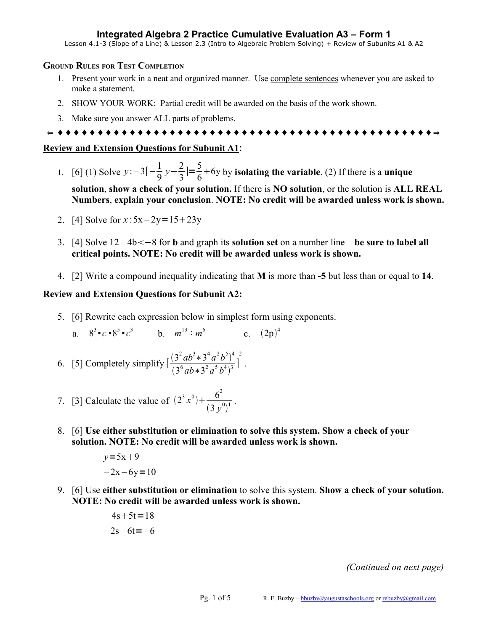## **Integrated Algebra 2 Practice Cumulative Evaluation A3 – Form 1**

Lesson 4.1-3 (Slope of a Line) & Lesson 2.3 (Intro to Algebraic Problem Solving) + Review of Subunits A1 & A2

### **GROUND RULES FOR TEST COMPLETION**

- 1. Present your work in a neat and organized manner. Use complete sentences whenever you are asked to make a statement.
- 2. SHOW YOUR WORK: Partial credit will be awarded on the basis of the work shown.
- 3. Make sure you answer ALL parts of problems.

⇐ ♦ ♦ ♦ ♦ ♦ ♦ ♦ ♦ ♦ ♦ ♦ ♦ ♦ ♦ ♦ ♦ ♦ ♦ ♦ ♦ ♦ ♦ ♦ ♦ ♦ ♦ ♦ ♦ ♦ ♦ ♦ ♦ ♦ ♦ ♦ ♦ ♦ ♦ ♦ ♦ ♦ ♦ ♦ ♦ ♦ ♦ ♦ ⇒

## **Review and Extension Questions for Subunit A1:**

- 1. [6] (1) Solve  $y$  :  $-3[-\frac{1}{9}]$ 9  $y + \frac{2}{3}$ 3  $]=\frac{5}{6}$  $\frac{6}{6}$ +6y by **isolating the variable**. (2) If there is a **unique solution**, **show a check of your solution.** If there is **NO solution**, or the solution is **ALL REAL Numbers**, **explain your conclusion**. **NOTE: No credit will be awarded unless work is shown.**
- 2. [4] Solve for  $x: 5x 2y = 15 + 23y$
- 3. [4] Solve 12 *–* 4b−8 for **b** and graph its **solution set** on a number line **be sure to label all critical points. NOTE: No credit will be awarded unless work is shown.**
- 4. [2] Write a compound inequality indicating that **M** is more than **-5** but less than or equal to **14**.

## **Review and Extension Questions for Subunit A2:**

- 5. [6] Rewrite each expression below in simplest form using exponents.
	- a.  $8^{3} \cdot c \cdot 8^{5} \cdot c^{3}$  b.  $m^{13} \div m^{6}$  c.  $(2p)^{4}$
- 6. [5] Completely simplify  $\left[\frac{(3^2ab^3*3^4a^2b^5)^4}{(a^6b^4+2a^2b^5)^4}\right]$  $\frac{(3^6ab*3^2a^5b^4)^3}{(3^6ab*3^2a^5b^4)^3}$ 2 .
- 7. [3] Calculate the value of  $(2^3 x^0) + \frac{6^2}{2^2}$  $\frac{6}{(3y^0)^1}$ .
- 8. [6] **Use either substitution or elimination to solve this system. Show a check of your solution. NOTE: No credit will be awarded unless work is shown.**

$$
y=5x+9
$$
  
-2x-6y=10

9. [6] Use **either substitution or elimination** to solve this system. **Show a check of your solution. NOTE: No credit will be awarded unless work is shown.**

$$
4s+5t=18
$$
  

$$
-2s-6t=-6
$$

*(Continued on next page)*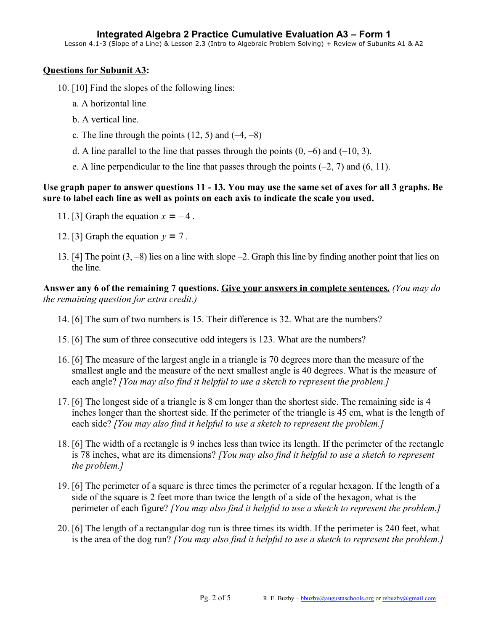# **Questions for Subunit A3:**

- 10. [10] Find the slopes of the following lines:
	- a. A horizontal line
	- b. A vertical line.
	- c. The line through the points  $(12, 5)$  and  $(-4, -8)$
	- d. A line parallel to the line that passes through the points  $(0, -6)$  and  $(-10, 3)$ .
	- e. A line perpendicular to the line that passes through the points  $(-2, 7)$  and  $(6, 11)$ .

# **Use graph paper to answer questions 11 - 13. You may use the same set of axes for all 3 graphs. Be sure to label each line as well as points on each axis to indicate the scale you used.**

- 11. [3] Graph the equation  $x = -4$ .
- 12. [3] Graph the equation  $y = 7$ .
- 13. [4] The point (3, –8) lies on a line with slope –2. Graph this line by finding another point that lies on the line.

**Answer any 6 of the remaining 7 questions. Give your answers in complete sentences.** *(You may do the remaining question for extra credit.)*

- 14. [6] The sum of two numbers is 15. Their difference is 32. What are the numbers?
- 15. [6] The sum of three consecutive odd integers is 123. What are the numbers?
- 16. [6] The measure of the largest angle in a triangle is 70 degrees more than the measure of the smallest angle and the measure of the next smallest angle is 40 degrees. What is the measure of each angle? *[You may also find it helpful to use a sketch to represent the problem.]*
- 17. [6] The longest side of a triangle is 8 cm longer than the shortest side. The remaining side is 4 inches longer than the shortest side. If the perimeter of the triangle is 45 cm, what is the length of each side? *[You may also find it helpful to use a sketch to represent the problem.]*
- 18. [6] The width of a rectangle is 9 inches less than twice its length. If the perimeter of the rectangle is 78 inches, what are its dimensions? *[You may also find it helpful to use a sketch to represent the problem.]*
- 19. [6] The perimeter of a square is three times the perimeter of a regular hexagon. If the length of a side of the square is 2 feet more than twice the length of a side of the hexagon, what is the perimeter of each figure? *[You may also find it helpful to use a sketch to represent the problem.]*
- 20. [6] The length of a rectangular dog run is three times its width. If the perimeter is 240 feet, what is the area of the dog run? *[You may also find it helpful to use a sketch to represent the problem.]*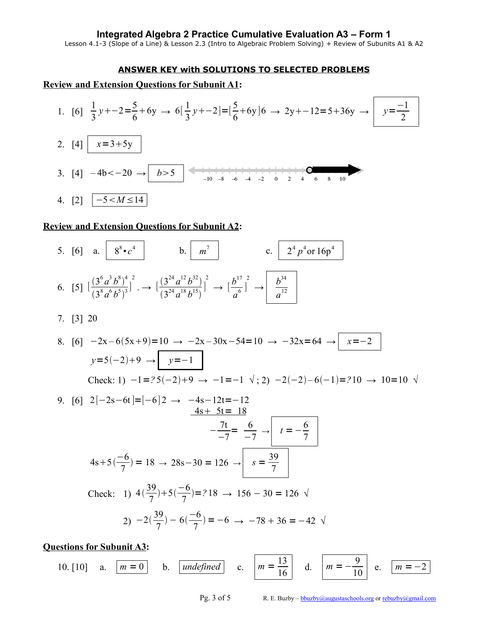### **Integrated Algebra 2 Practice Cumulative Evaluation A3 – Form 1**

Lesson 4.1-3 (Slope of a Line) & Lesson 2.3 (Intro to Algebraic Problem Solving) + Review of Subunits A1 & A2

#### **ANSWER KEY with SOLUTIONS TO SELECTED PROBLEMS**

## **Review and Extension Questions for Subunit A1:**



### **Review and Extension Questions for Subunit A2:**

5. [6] a.  $8^{8} \cdot c^4$  b.  $m^7$  c.  $2^4 p^4 \text{ or } 16p^4$ 6. [5]  $\left[\frac{(3^6a^3b^8)^4}{(3^8-615)^3}\right]$  $\frac{(3^8a^6b^5)^3}{}$ 2  $\mapsto \left[\frac{(3^{24}a^{12}b^{32})}{(2^{24}+18+15)}\right]$  $\frac{(3^{24}a^{18}b^{15})}{(3^{24}a^{18}b^{15})}$ 2  $\rightarrow$   $\left[\frac{b^{17}}{6}\right]$  $\frac{b}{a^6}$ ] 2  $\rightarrow$   $\frac{b^{34}}{12}$ *a* 12 7. [3] 20 8. [6]  $-2x-6(5x+9)=10 \rightarrow -2x-30x-54=10 \rightarrow -32x=64 \rightarrow x=-2$ *y*=5(-2)+9 → *y*=-1 Check: 1)  $-1$  = ?5(-2)+9 →  $-1$  =  $-1 \sqrt{2}$ ; 2)  $-2(-2) - 6(-1) = ?10$  → 10=10  $\sqrt{2}$ 9. [6]  $2[-2s-6t] = [-6]2 \rightarrow -4s-12t=-12$  $4s + 5t = 18$  $-\frac{7t}{7}$  $-7$  $=\frac{6}{ }$  $-7$  $\rightarrow$   $t=-\frac{6}{7}$ 7  $4s+5(\frac{-6}{7})$  $\frac{x-6}{7}$ ) = 18 → 28s-30 = 126 → *s* =  $\frac{39}{7}$ 7 Check: 1)  $4(\frac{39}{7})$ 7  $)+5(\frac{-6}{7})$  $\frac{0}{7}$ =?18 → 156 – 30 = 126 √ 2)  $-2(\frac{39}{7})$ 7  $-6(\frac{-6}{7})$  $\frac{0}{7}$ ) = -6  $\rightarrow$  -78 + 36 = -42  $\sqrt{ }$ 

**Questions for Subunit A3:**

10. [10] a.  $m = 0$  b. *undefined* c.  $m = \frac{13}{16}$  d.  $m = -\frac{9}{16}$  $m = -2$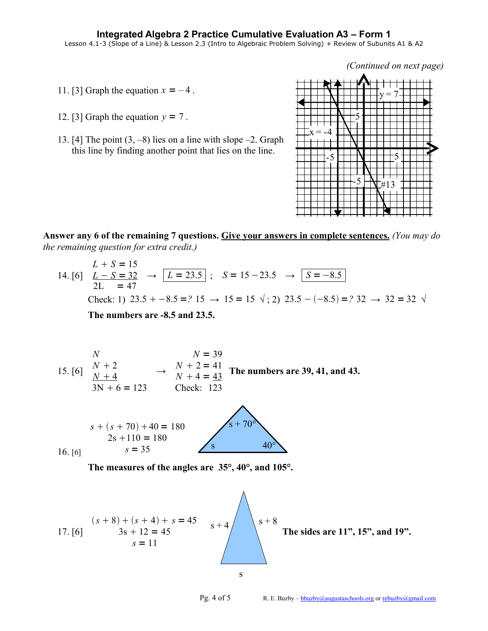*(Continued on next page)*

- 11. [3] Graph the equation  $x = -4$ .
- 12. [3] Graph the equation  $y = 7$ .
- 13. [4] The point  $(3, -8)$  lies on a line with slope  $-2$ . Graph this line by finding another point that lies on the line.



**Answer any 6 of the remaining 7 questions. Give your answers in complete sentences.** *(You may do the remaining question for extra credit.)*

$$
L + S = 15
$$
  
14. [6] 
$$
L - S = 32 \rightarrow L = 23.5 ; S = 15 - 23.5 \rightarrow S = -8.5
$$
  
2L = 47  
Check: 1) 23.5 + -8.5 = ? 15 \rightarrow 15 = 15 \sqrt{2} 23.5 - (-8.5) = ? 32 \rightarrow 32 = 32 \sqrt{2}

**The numbers are -8.5 and 23.5.**

$$
N = 39
$$
  
15. [6] 
$$
N + 2 = 41
$$

$$
N + 4 = 43
$$

$$
3N + 6 = 123
$$
 
$$
N + 4 = 43
$$

$$
N + 4 = 43
$$

$$
23
$$
 **The numbers are 39, 41, and 43.**



**The measures of the angles are 35°, 40°, and 105°.**

17. [6] *s* 8 *s* 4 *s* = 45 3s 12 = 45 *s* = 11 **The sides are 11", 15", and 19".** s s + 8 s + 4